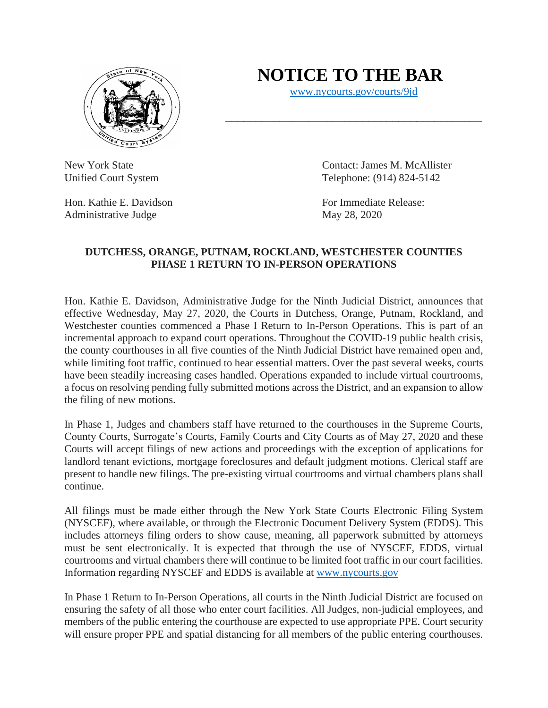

## **NOTICE TO THE BAR**

[www.nycourts.gov/courts/9jd](http://www.nycourts.gov/courts/9jd)

Hon. Kathie E. Davidson For Immediate Release: Administrative Judge May 28, 2020

New York State Contact: James M. McAllister Unified Court System Telephone: (914) 824-5142

## **DUTCHESS, ORANGE, PUTNAM, ROCKLAND, WESTCHESTER COUNTIES PHASE 1 RETURN TO IN-PERSON OPERATIONS**

Hon. Kathie E. Davidson, Administrative Judge for the Ninth Judicial District, announces that effective Wednesday, May 27, 2020, the Courts in Dutchess, Orange, Putnam, Rockland, and Westchester counties commenced a Phase I Return to In-Person Operations. This is part of an incremental approach to expand court operations. Throughout the COVID-19 public health crisis, the county courthouses in all five counties of the Ninth Judicial District have remained open and, while limiting foot traffic, continued to hear essential matters. Over the past several weeks, courts have been steadily increasing cases handled. Operations expanded to include virtual courtrooms, a focus on resolving pending fully submitted motions across the District, and an expansion to allow the filing of new motions.

In Phase 1, Judges and chambers staff have returned to the courthouses in the Supreme Courts, County Courts, Surrogate's Courts, Family Courts and City Courts as of May 27, 2020 and these Courts will accept filings of new actions and proceedings with the exception of applications for landlord tenant evictions, mortgage foreclosures and default judgment motions. Clerical staff are present to handle new filings. The pre-existing virtual courtrooms and virtual chambers plans shall continue.

All filings must be made either through the New York State Courts Electronic Filing System (NYSCEF), where available, or through the Electronic Document Delivery System (EDDS). This includes attorneys filing orders to show cause, meaning, all paperwork submitted by attorneys must be sent electronically. It is expected that through the use of NYSCEF, EDDS, virtual courtrooms and virtual chambers there will continue to be limited foot traffic in our court facilities. Information regarding NYSCEF and EDDS is available at [www.nycourts.gov](http://www.nycourts.gov/)

In Phase 1 Return to In-Person Operations, all courts in the Ninth Judicial District are focused on ensuring the safety of all those who enter court facilities. All Judges, non-judicial employees, and members of the public entering the courthouse are expected to use appropriate PPE. Court security will ensure proper PPE and spatial distancing for all members of the public entering courthouses.